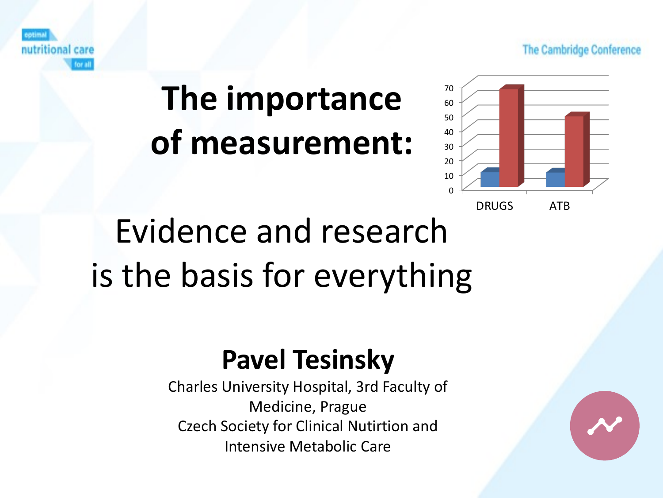The Cambridge Conference



# **The importance of measurement:**



# Evidence and research is the basis for everything

#### **Pavel Tesinsky**

Charles University Hospital, 3rd Faculty of Medicine, Prague Czech Society for Clinical Nutirtion and Intensive Metabolic Care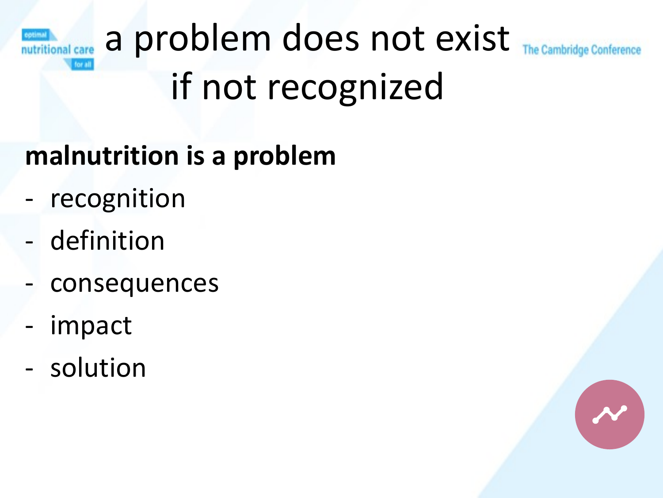#### a problem does not exist nutritional care if not recognized

#### **malnutrition is a problem**

- recognition
- definition
- consequences
- impact
- solution

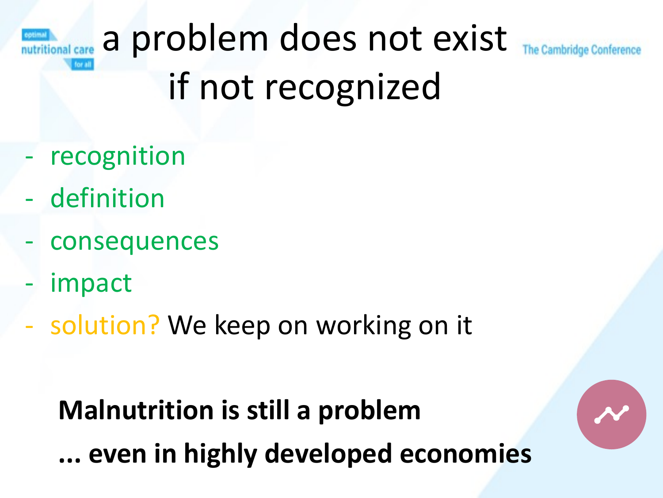#### a problem does not exist nutritional care if not recognized

- recognition
- definition
- consequences
- impact
- solution? We keep on working on it

**Malnutrition is still a problem ... even in highly developed economies**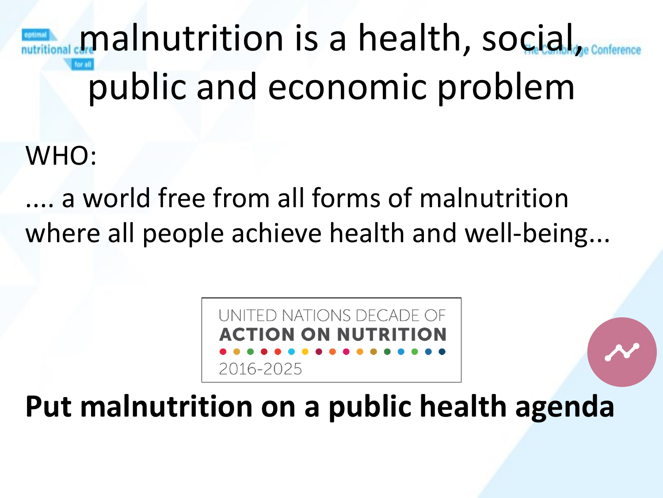malnutrition is a health, social, public and economic problem

WHO:

.... a world free from all forms of malnutrition where all people achieve health and well-being...



**Put malnutrition on a public health agenda**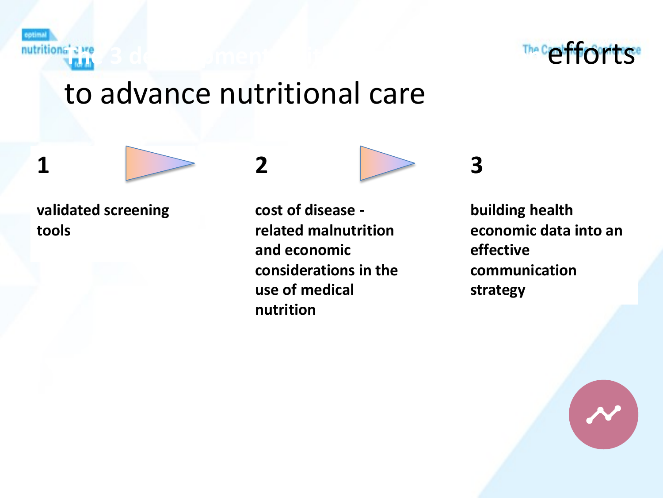**botimal** 

**1**



#### to advance nutritional care

**validated screening tools**

**2**

**cost of disease related malnutrition and economic considerations in the use of medical nutrition**



**building health economic data into an effective communication strategy**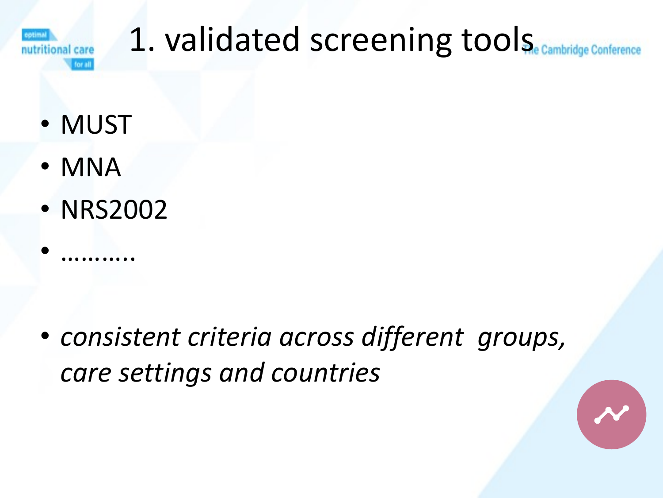

#### 1. validated screening tools nference

- MUST
- MNA

• ………..

• NRS2002

• *consistent criteria across different groups, care settings and countries*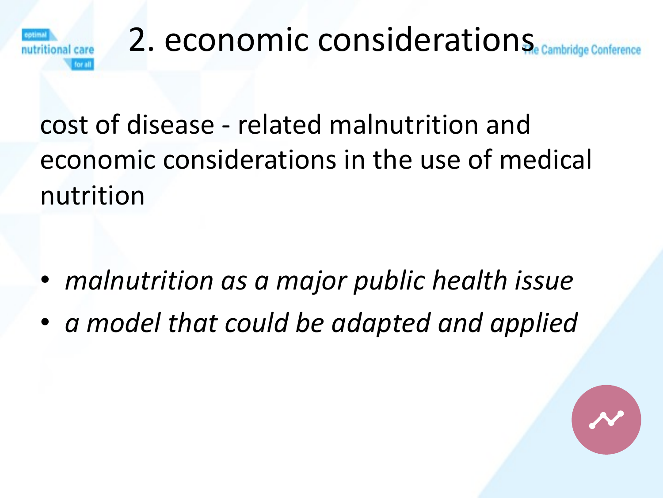

# 2. economic considerations

cost of disease - related malnutrition and economic considerations in the use of medical nutrition

- *malnutrition as a major public health issue*
- *a model that could be adapted and applied*

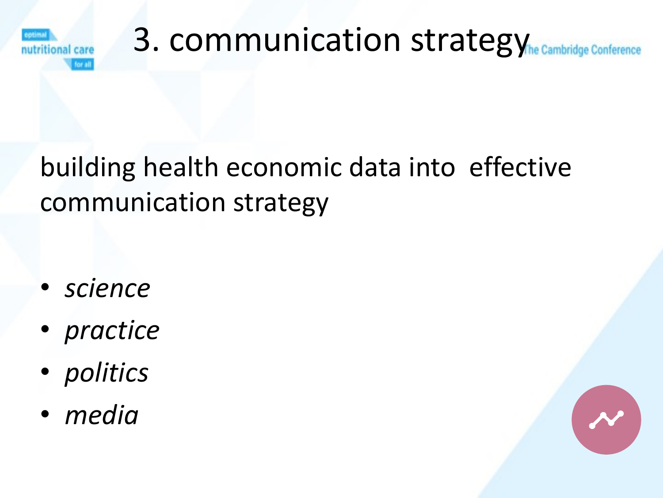

## 3. communication strategythe Cambridge Conference

building health economic data into effective communication strategy

- *science*
- *practice*
- *politics*
- *media*

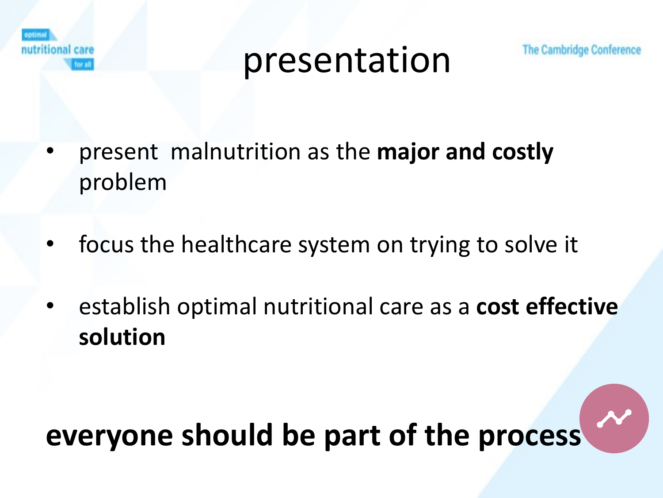

presentation

- present malnutrition as the **major and costly**  problem
- focus the healthcare system on trying to solve it
- establish optimal nutritional care as a **cost effective solution**

### **everyone should be part of the process**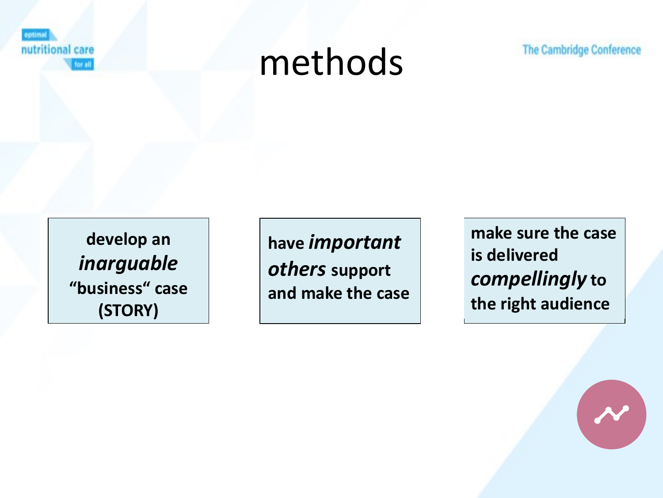

## methods

The Cambridge Conference

**develop an**  *inarguable* **"business" case (STORY)** 

**have** *important others* **support and make the case**

**make sure the case is delivered**  *compellingly* **to the right audience**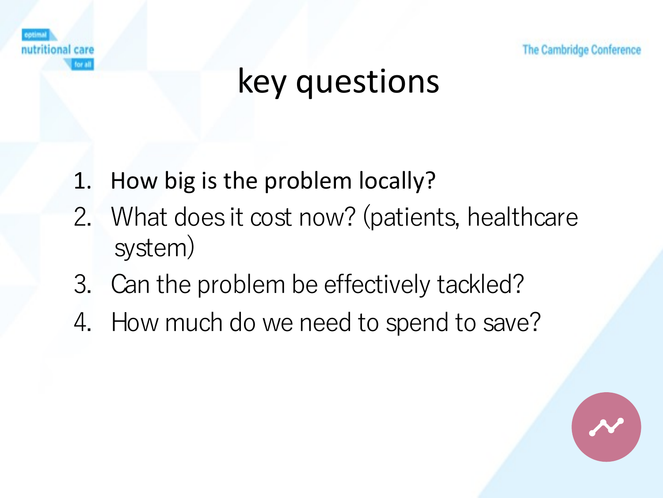



## key questions

- 1. How big is the problem locally?
- 2. What does it cost now? (patients, healthcare system)
- 3. Can the problem be effectively tackled?
- 4. How much do we need to spend to save?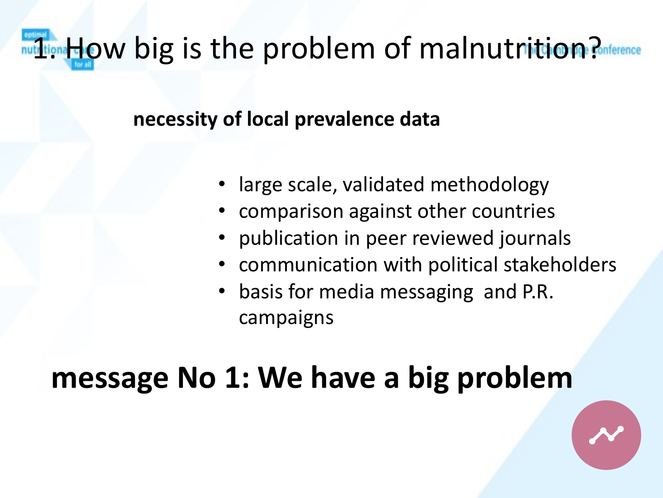### nutritional dow big is the problem of malnutrition? Conference

#### **necessity of local prevalence data**

- large scale, validated methodology
- comparison against other countries
- publication in peer reviewed journals
- communication with political stakeholders
- basis for media messaging and P.R. campaigns

### **message No 1: We have a big problem**

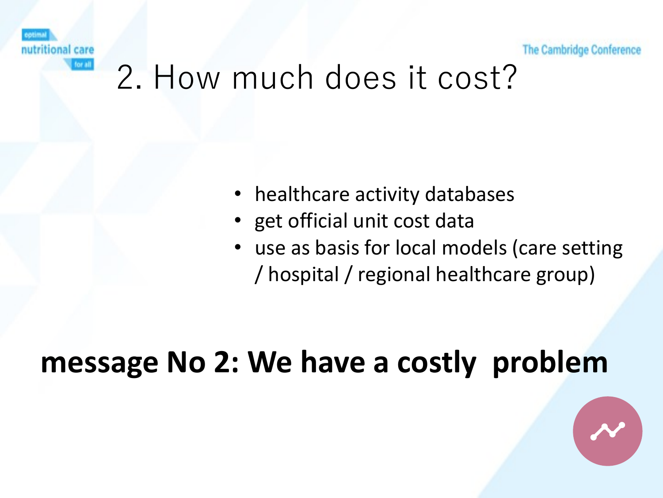ional care

The Cambridge Conference

### 2. How much does it cost?

- healthcare activity databases
- get official unit cost data
- use as basis for local models (care setting / hospital / regional healthcare group)

#### **message No 2: We have a costly problem**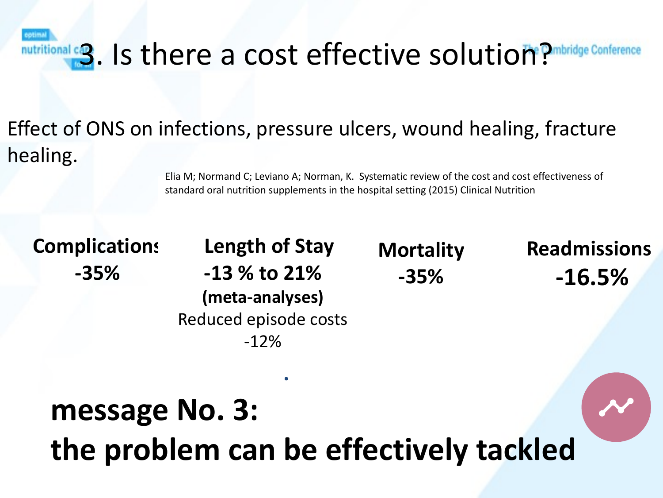anal c<sub>2</sub>. Is there a cost effective solution? **Probridge Conference** 

#### Effect of ONS on infections, pressure ulcers, wound healing, fracture healing.

Elia M; Normand C; Leviano A; Norman, K. Systematic review of the cost and cost effectiveness of standard oral nutrition supplements in the hospital setting (2015) Clinical Nutrition

**Complications -35%**

**Length of Stay -13 % to 21% (meta-analyses)** Reduced episode costs -12%

**.**

**Mortality -35%**

**Readmissions -16.5%**

## **message No. 3: the problem can be effectively tackled**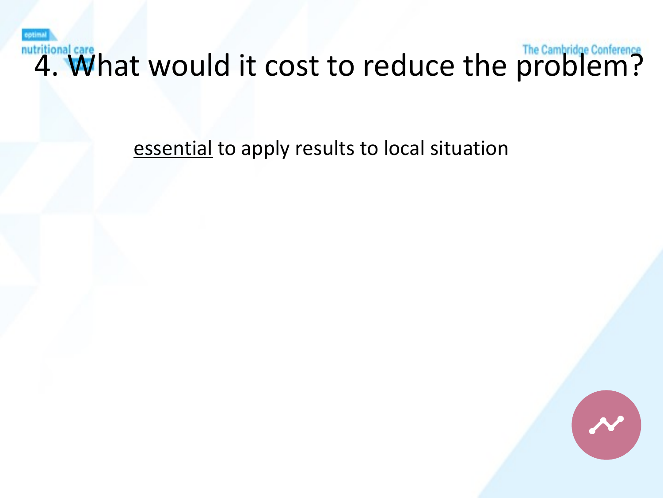nutritional care hat would it cost to reduce the problem?

essential to apply results to local situation

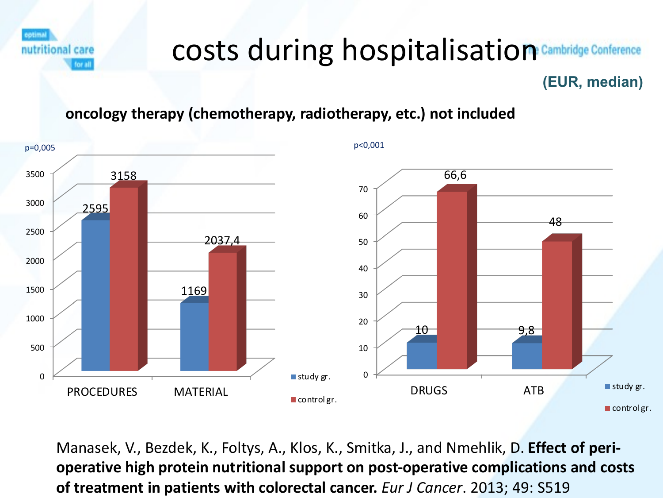cotimal nutritional care for all

#### costs during hospitalisation **Cambridge Conference**

#### **(EUR, median)**

#### **oncology therapy (chemotherapy, radiotherapy, etc.) not included**



Manasek, V., Bezdek, K., Foltys, A., Klos, K., Smitka, J., and Nmehlik, D. **Effect of perioperative high protein nutritional support on post-operative complications and costs of treatment in patients with colorectal cancer.** *Eur J Cancer*. 2013; 49: S519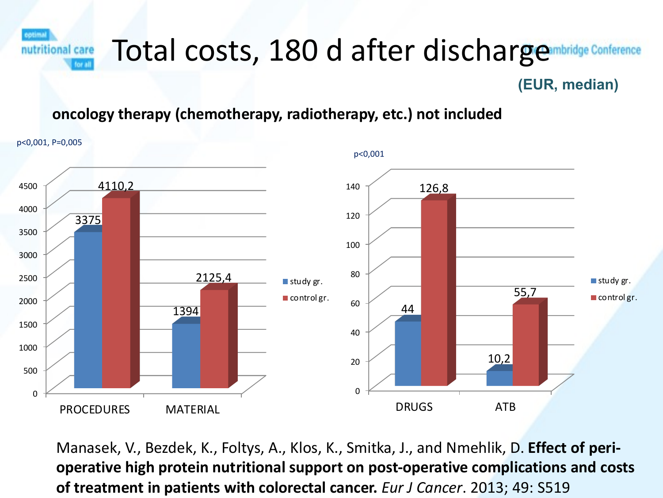

#### **(EUR, median)**

#### **oncology therapy (chemotherapy, radiotherapy, etc.) not included**



Manasek, V., Bezdek, K., Foltys, A., Klos, K., Smitka, J., and Nmehlik, D. **Effect of perioperative high protein nutritional support on post-operative complications and costs of treatment in patients with colorectal cancer.** *Eur J Cancer*. 2013; 49: S519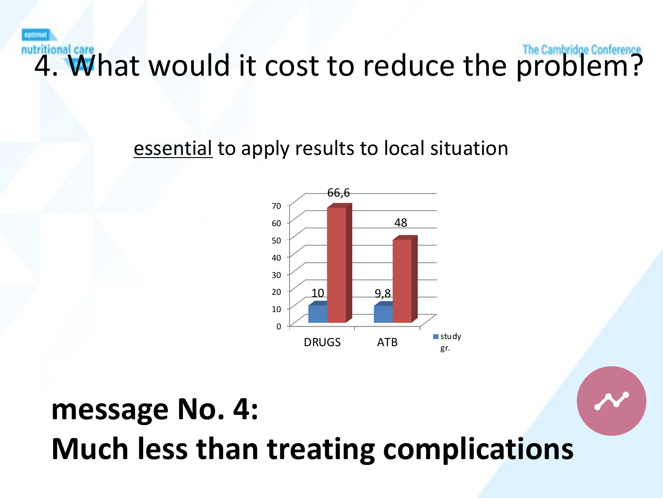nutritional care **What would it cost to reduce the problem?** 

essential to apply results to local situation



### **message No. 4: Much less than treating complications**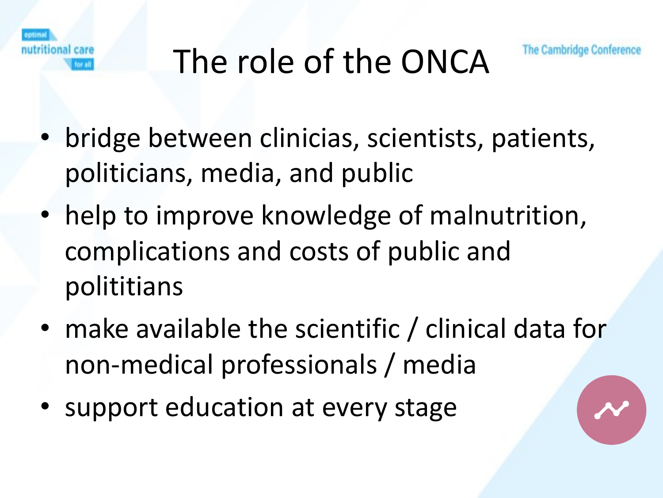

# The role of the ONCA



- bridge between clinicias, scientists, patients, politicians, media, and public
- help to improve knowledge of malnutrition, complications and costs of public and polititians
- make available the scientific / clinical data for non-medical professionals / media
- support education at every stage